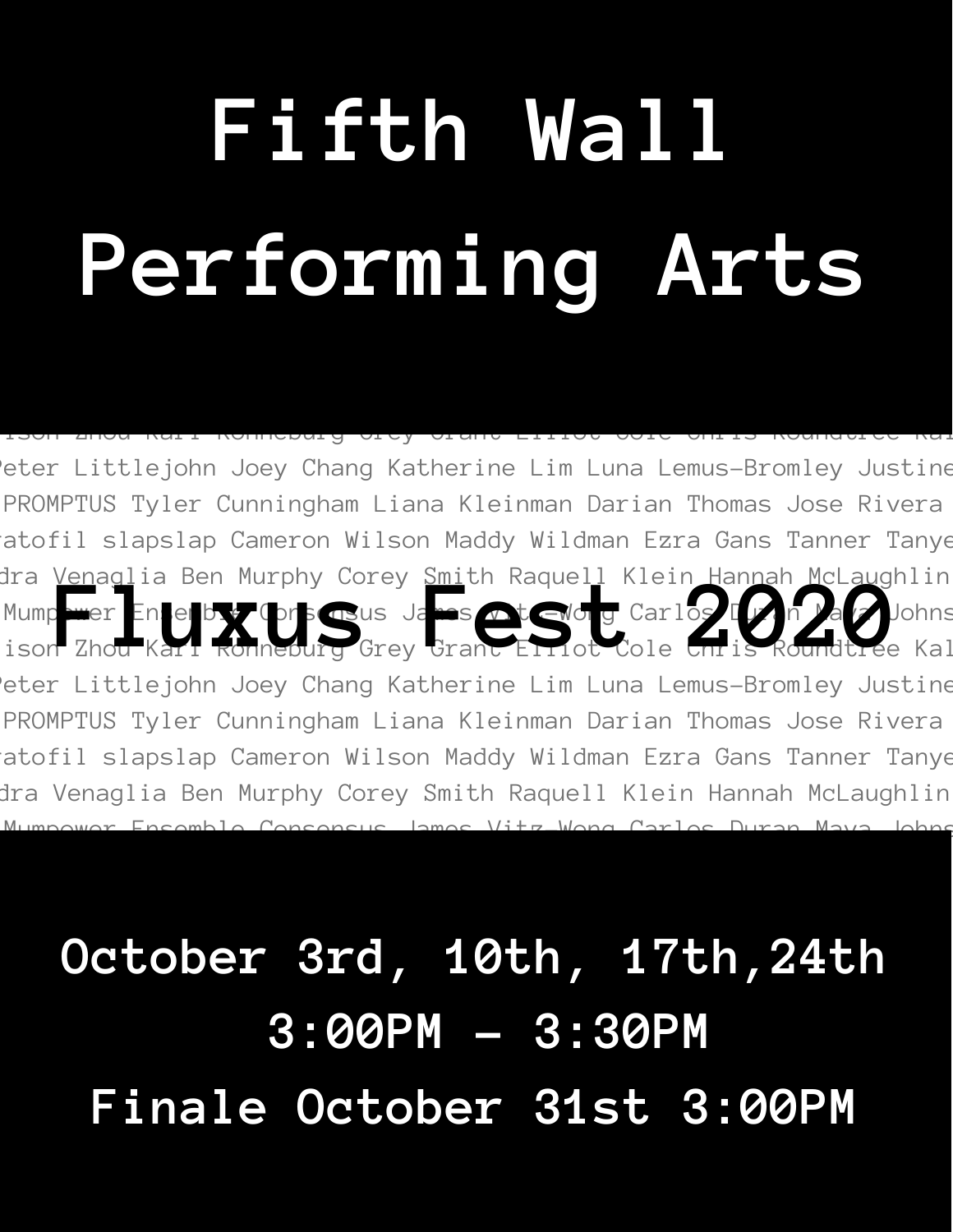# **Fifth Wall Performing Arts**

eter Littlejohn Joey Chang Katherine Lim Luna Lemus-Bromley Justine PROMPTUS Tyler Cunningham Liana Kleinman Darian Thomas Jose Rivera ratofil slapslap Cameron Wilson Maddy Wildman Ezra Gans Tanner Tanye dra <u>Venagl</u>ia Ben Murphy Corey <u>Smi</u>th Raquell Klein <u>Hannah McLaug</u>hlin Mumpower Ensemble Consensus James Vita-Wong Carlos Duran May Johns Ira Venaglia Ben Murphy Corey Smith Raquell Klein Hannah McLaughlin<br>Mump wer Enterby: Orsensus James Ortenburg Carlos I<mark>I is Roundtree Kal</mark> eter Littlejohn Joey Chang Katherine Lim Luna Lemus-Bromley Justine PROMPTUS Tyler Cunningham Liana Kleinman Darian Thomas Jose Rivera ratofil slapslap Cameron Wilson Maddy Wildman Ezra Gans Tanner Tanye dra Venaglia Ben Murphy Corey Smith Raquell Klein Hannah McLaughlin

Mumpower Ensemble Consensus James Vitz-Wong Carlos Duran Maya Johns

ison Zhou Karl Ronneburg Grey Grant Elliot Cole Chris Roundtree Kal

**October 3rd, 10th, 17th,24th 3:00PM - 3:30PM Finale October 31st 3:00PM**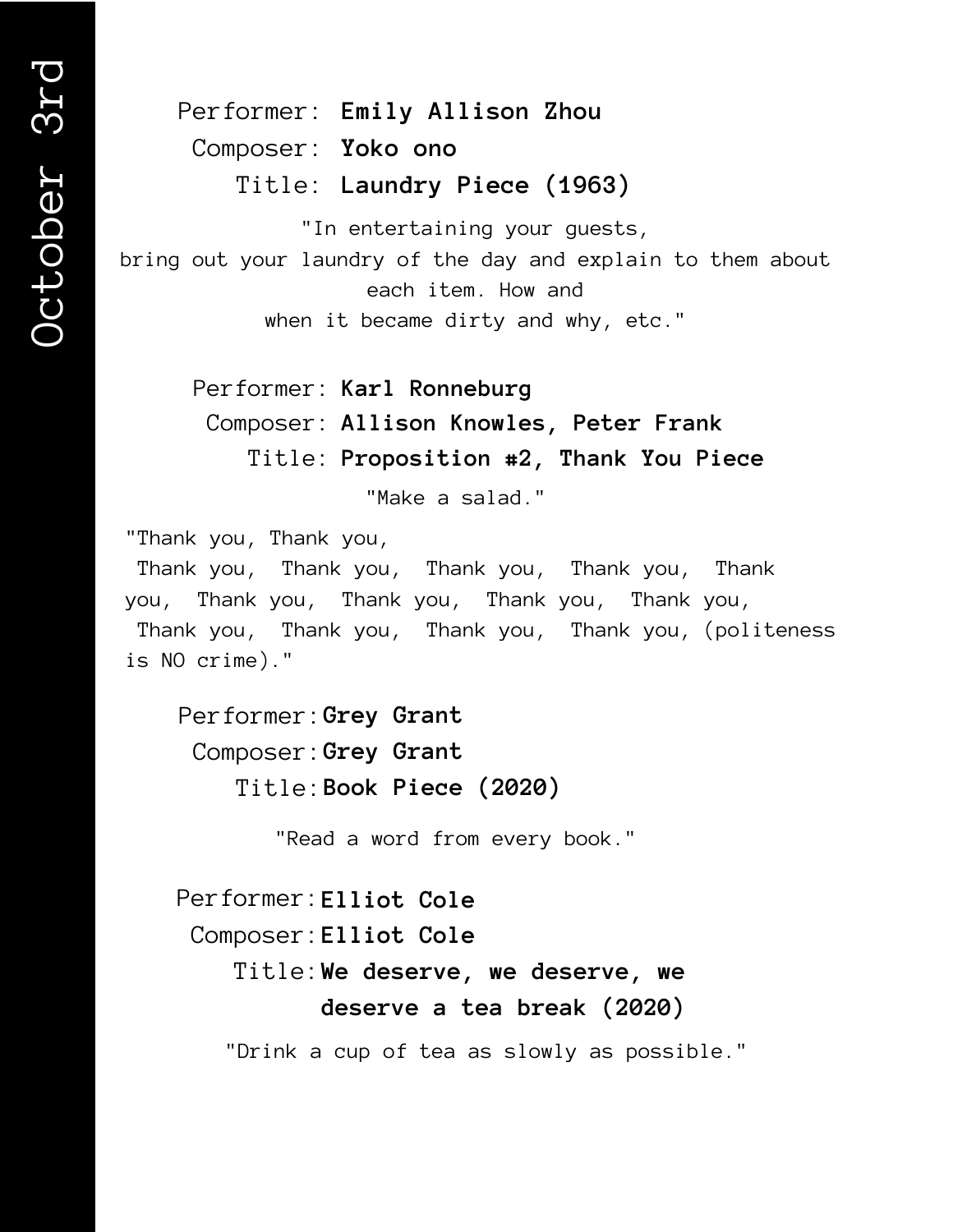Performer: **Emily Allison Zhou** Composer: **Yoko ono** Title: **Laundry Piece (1963)**

"In entertaining your guests,

bring out your laundry of the day and explain to them about each item. How and

when it became dirty and why, etc."

Performer: **Karl Ronneburg**

Composer: **Allison Knowles, Peter Frank**

Title: **Proposition #2, Thank You Piece**

"Make a salad."

"Thank you, Thank you,

Thank you, Thank you, Thank you, Thank you, Thank you, Thank you, Thank you, Thank you, Thank you, Thank you, Thank you, Thank you, Thank you, (politeness is NO crime)."

Performer: **Grey Grant** Composer: **Grey Grant** Title: **Book Piece (2020)**

"Read a word from every book."

Performer: **Elliot Cole** Composer: **Elliot Cole** Title: **We deserve, we deserve, we deserve a tea break (2020)**

"Drink a cup of tea as slowly as possible."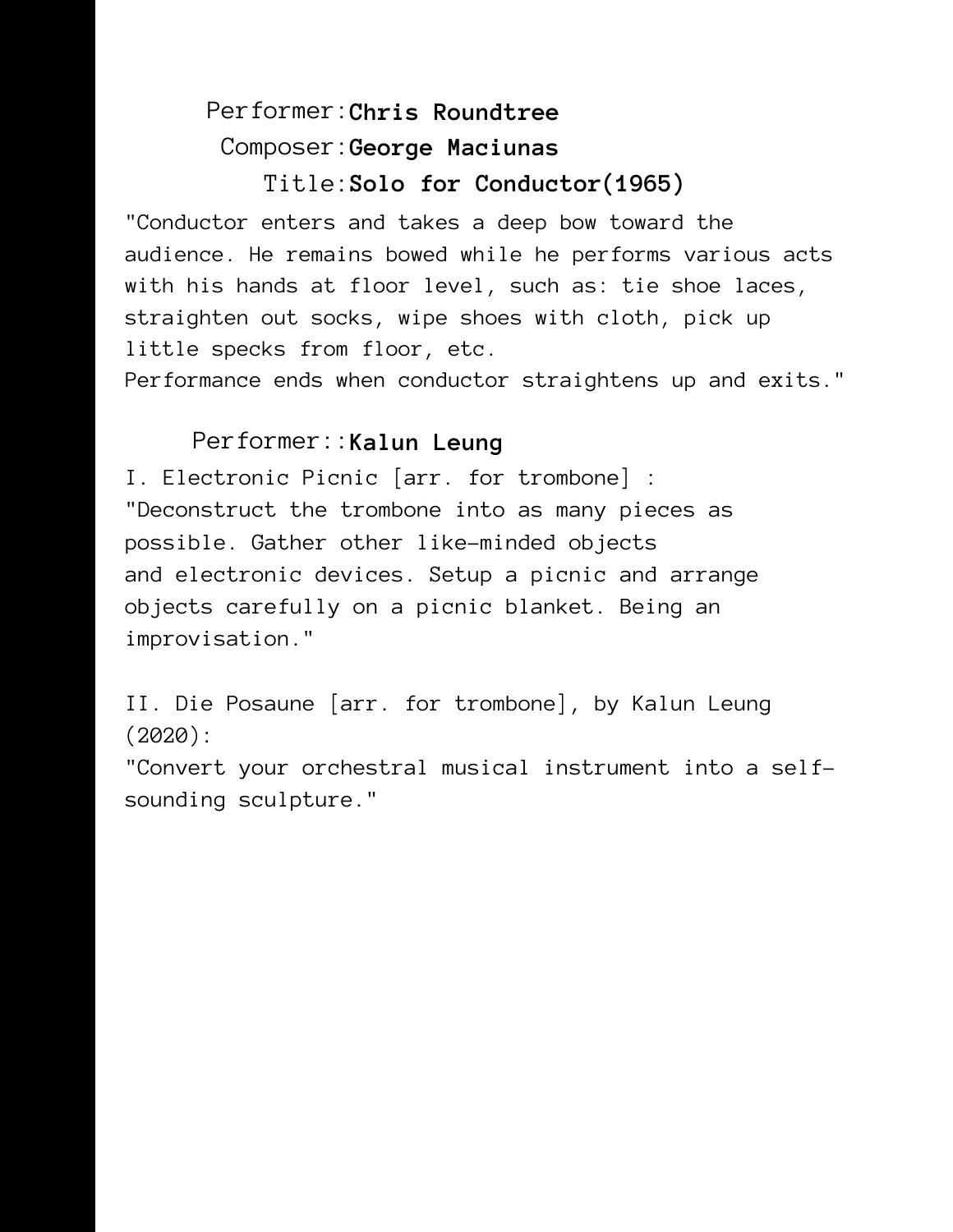# Performer: **Chris Roundtree** Composer: **George Maciunas** Title: **Solo for Conductor(1965)**

"Conductor enters and takes a deep bow toward the audience. He remains bowed while he performs various acts with his hands at floor level, such as: tie shoe laces, straighten out socks, wipe shoes with cloth, pick up little specks from floor, etc.

Performance ends when conductor straightens up and exits."

## Performer:: **Kalun Leung**

I. Electronic Picnic [arr. for trombone] : "Deconstruct the trombone into as many pieces as possible. Gather other like-minded objects and electronic devices. Setup a picnic and arrange objects carefully on a picnic blanket. Being an improvisation."

II. Die Posaune [arr. for trombone], by Kalun Leung (2020):

"Convert your orchestral musical instrument into a selfsounding sculpture."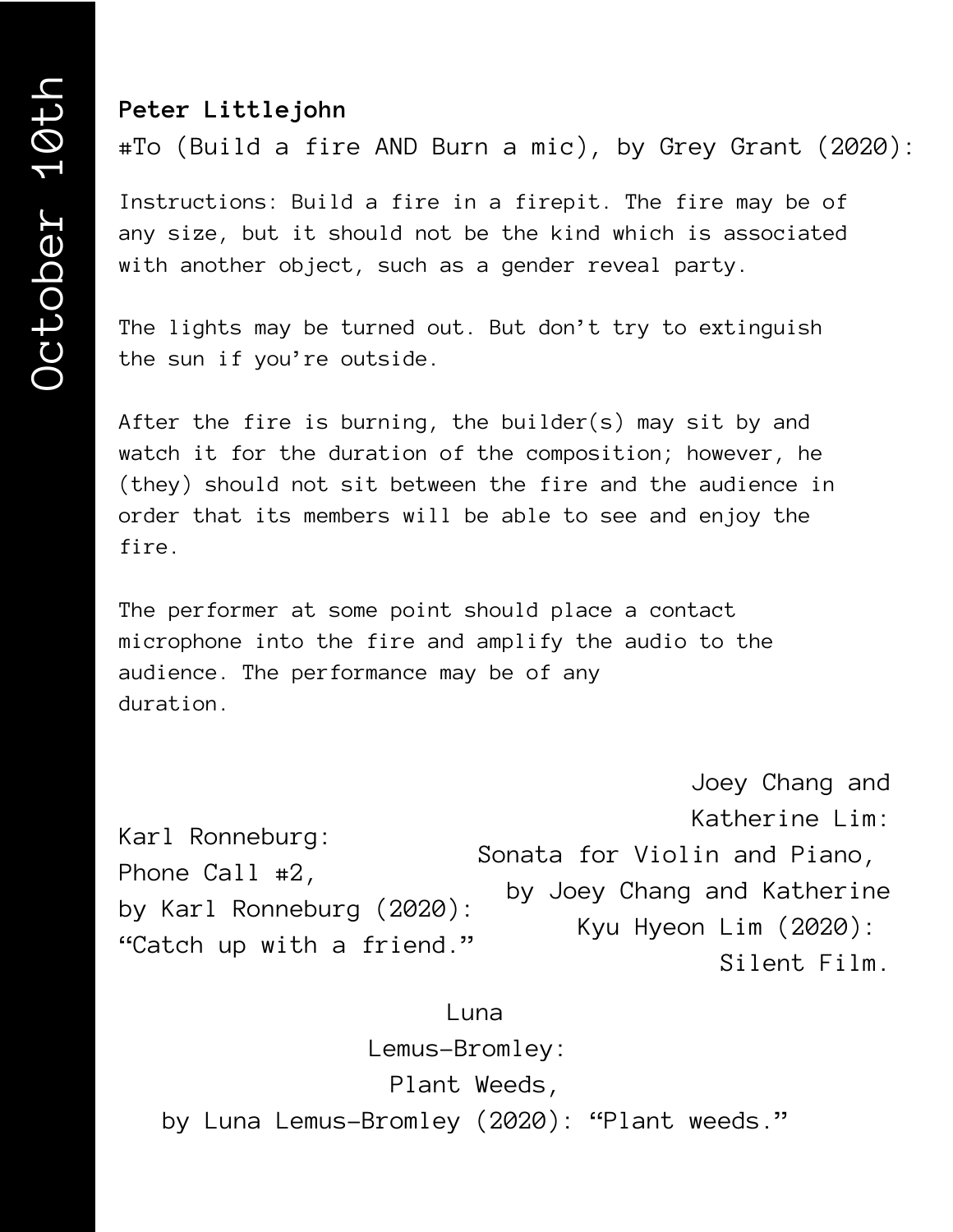### **Peter Littlejohn**

#To (Build a fire AND Burn a mic), by Grey Grant (2020):

Instructions: Build a fire in a firepit. The fire may be of any size, but it should not be the kind which is associated with another object, such as a gender reveal party.

The lights may be turned out. But don't try to extinguish the sun if you're outside.

After the fire is burning, the builder(s) may sit by and watch it for the duration of the composition; however, he (they) should not sit between the fire and the audience in order that its members will be able to see and enjoy the fire.

The performer at some point should place a contact microphone into the fire and amplify the audio to the audience. The performance may be of any duration.

Karl Ronneburg: Phone Call #2, by Karl Ronneburg (2020): "Catch up with a friend." Joey Chang and Katherine Lim: Sonata for Violin and Piano, by Joey Chang and Katherine Kyu Hyeon Lim (2020): Silent Film.

#### Luna

Lemus-Bromley: Plant Weeds, by Luna Lemus-Bromley (2020): "Plant weeds."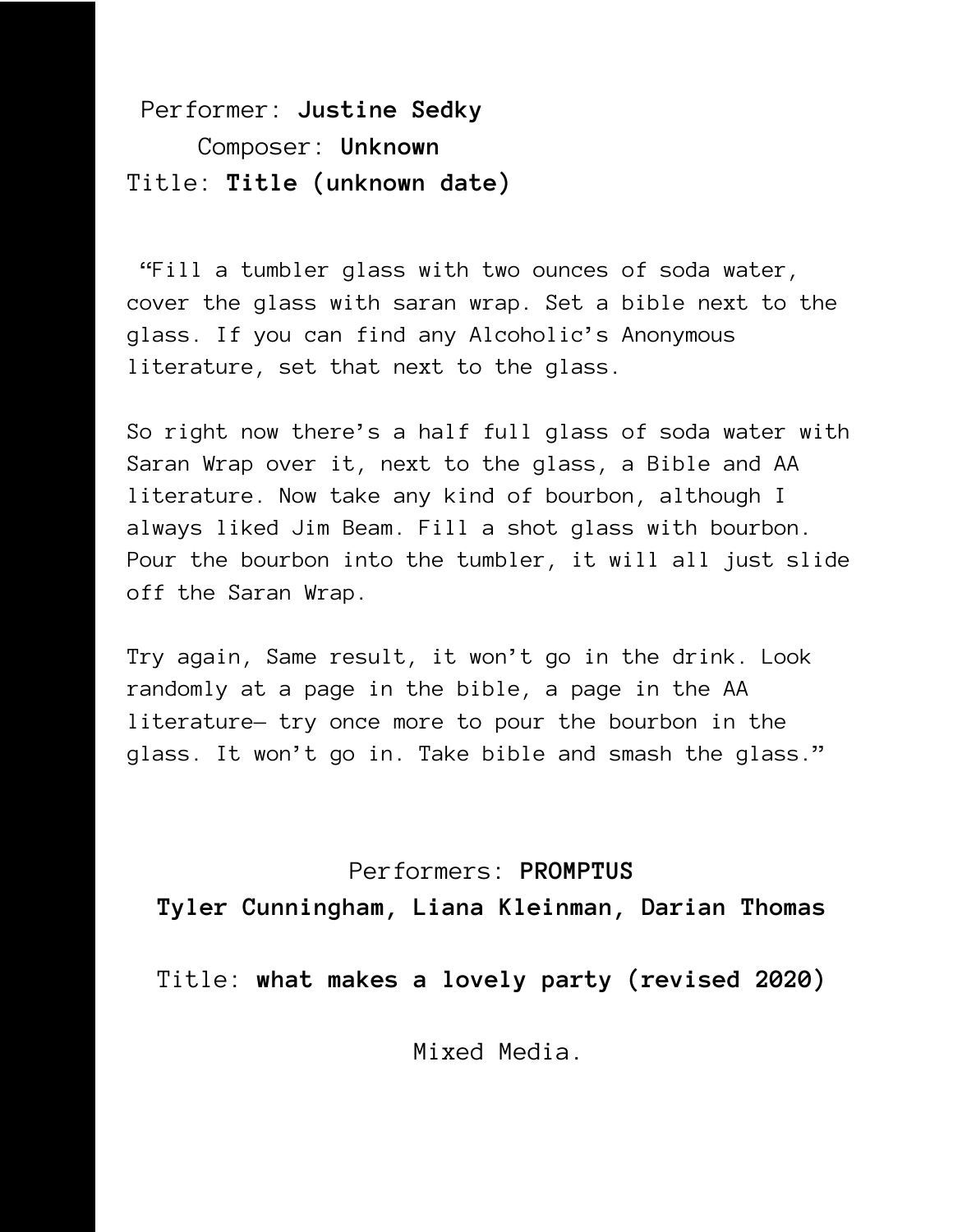Performer: **Justine Sedky** Composer: **Unknown** Title: **Title (unknown date)**

"Fill a tumbler glass with two ounces of soda water, cover the glass with saran wrap. Set a bible next to the glass. If you can find any Alcoholic's Anonymous literature, set that next to the glass.

So right now there's a half full glass of soda water with Saran Wrap over it, next to the glass, a Bible and AA literature. Now take any kind of bourbon, although I always liked Jim Beam. Fill a shot glass with bourbon. Pour the bourbon into the tumbler, it will all just slide off the Saran Wrap.

Try again, Same result, it won't go in the drink. Look randomly at a page in the bible, a page in the AA literature— try once more to pour the bourbon in the glass. It won't go in. Take bible and smash the glass."

Performers: **PROMPTUS Tyler Cunningham, Liana Kleinman, Darian Thomas**

Title: **what makes a lovely party (revised 2020)**

Mixed Media.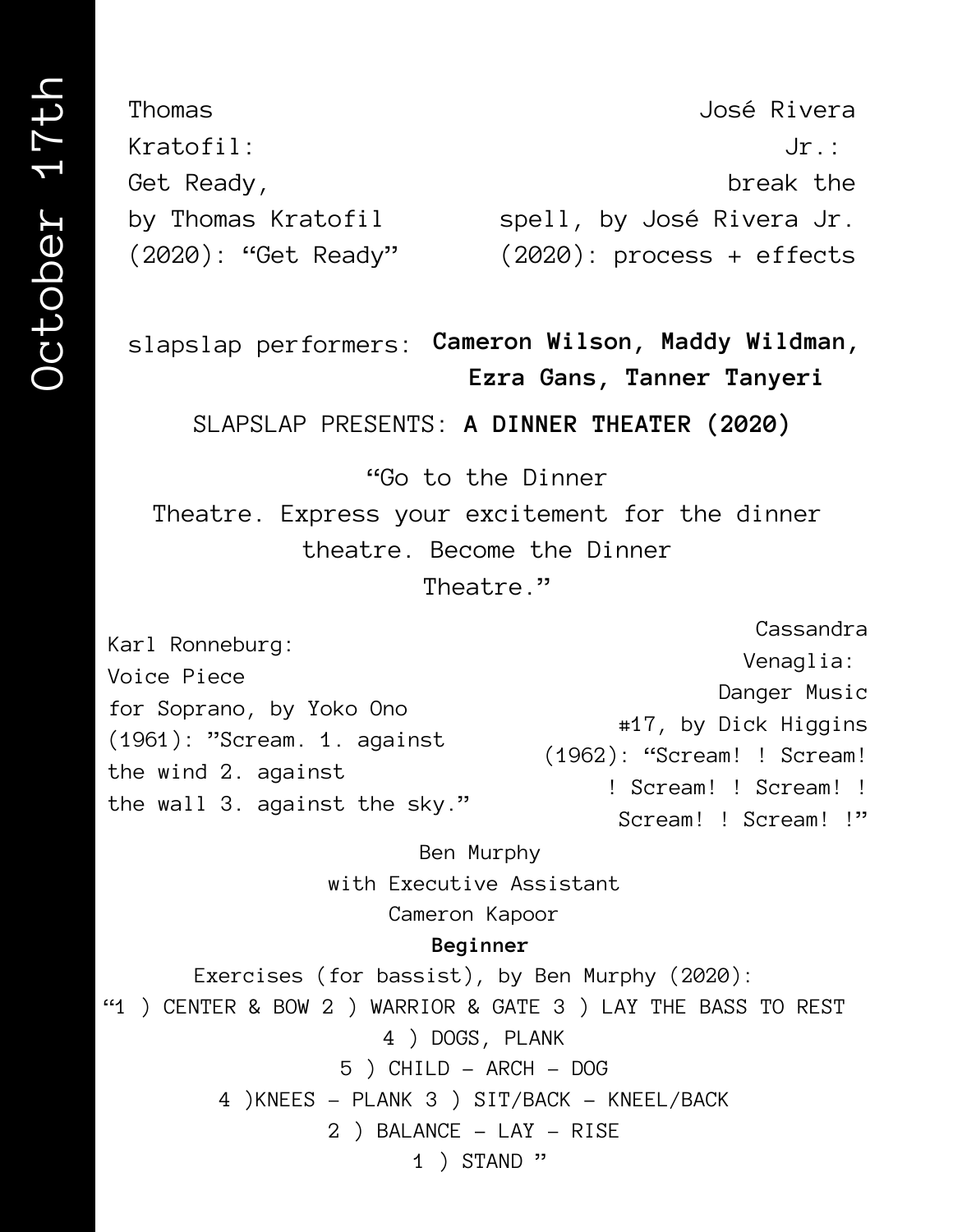Thomas Kratofil: Get Ready, by Thomas Kratofil spell, by José Rivera Jr. (2020): "Get Ready" José Rivera  $Jr$ : break the (2020): process + effects

slapslap performers: **Cameron Wilson, Maddy Wildman, Ezra Gans, Tanner Tanyeri**

SLAPSLAP PRESENTS: **A DINNER THEATER (2020)**

"Go to the Dinner

Theatre. Express your excitement for the dinner theatre. Become the Dinner Theatre."

Karl Ronneburg: Voice Piece for Soprano, by Yoko Ono (1961): "Scream. 1. against the wind 2. against the wall 3. against the sky." Cassandra Venaglia: Danger Music #17, by Dick Higgins (1962): "Scream! ! Scream! ! Scream! ! Scream! ! Scream! ! Scream! !"

Ben Murphy with Executive Assistant Cameron Kapoor

#### **Beginner**

Exercises (for bassist), by Ben Murphy (2020): "1 ) CENTER & BOW 2 ) WARRIOR & GATE 3 ) LAY THE BASS TO REST 4 ) DOGS, PLANK 5 ) CHILD - ARCH – DOG 4 )KNEES - PLANK 3 ) SIT/BACK - KNEEL/BACK 2 ) BALANCE - LAY - RISE 1 ) STAND "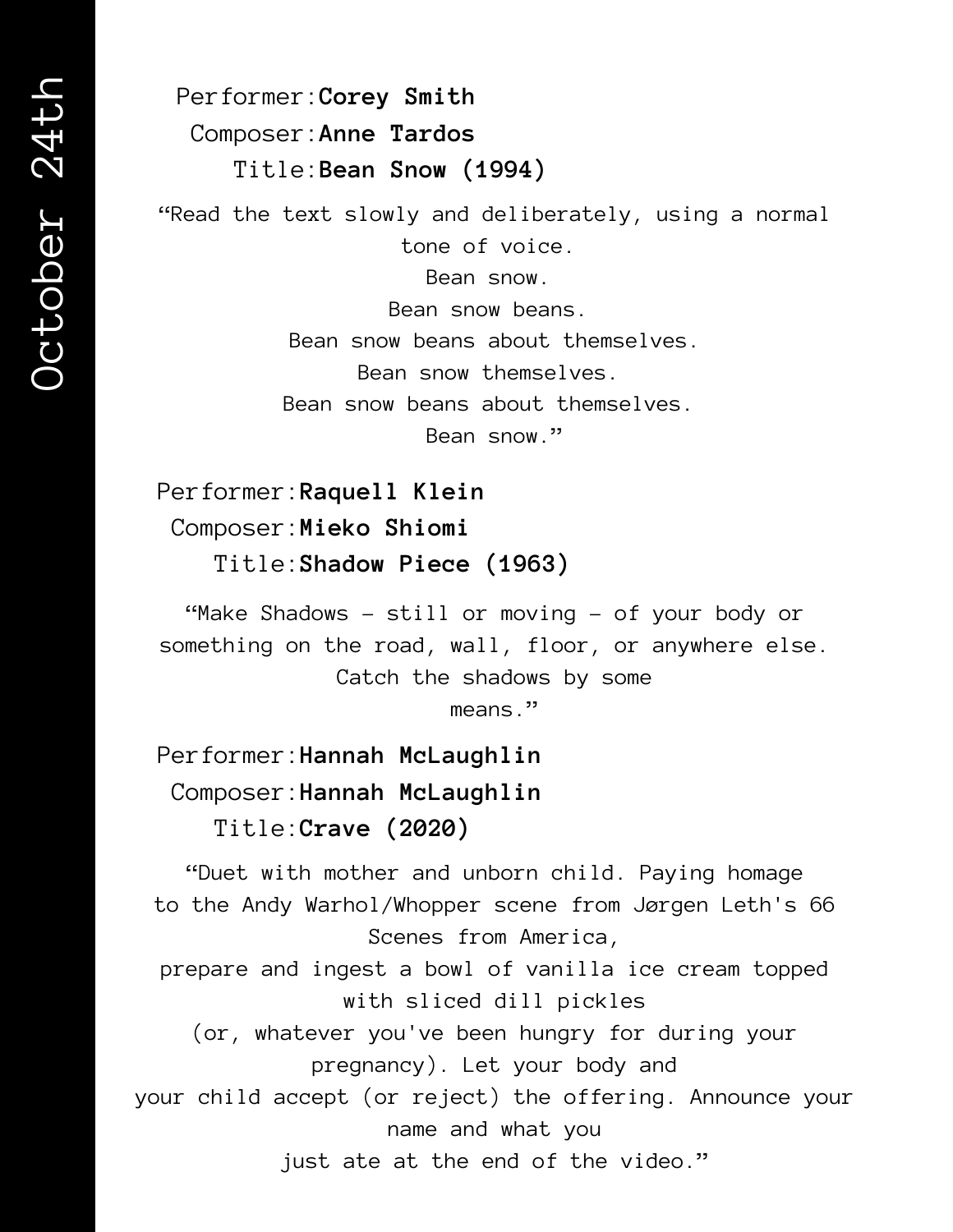Performer: **Corey Smith** Composer: **Anne Tardos** Title: **Bean Snow (1994)**

"Read the text slowly and deliberately, using a normal tone of voice.

Bean snow.

Bean snow beans. Bean snow beans about themselves. Bean snow themselves. Bean snow beans about themselves. Bean snow."

Performer: **Raquell Klein** Composer: **Mieko Shiomi** Title: **Shadow Piece (1963)**

"Make Shadows – still or moving – of your body or something on the road, wall, floor, or anywhere else. Catch the shadows by some

means."

Performer: **Hannah McLaughlin** Composer: **Hannah McLaughlin** Title: **Crave (2020)**

"Duet with mother and unborn child. Paying homage to the Andy Warhol/Whopper scene from Jørgen Leth's 66 Scenes from America,

prepare and ingest a bowl of vanilla ice cream topped with sliced dill pickles

(or, whatever you've been hungry for during your pregnancy). Let your body and

your child accept (or reject) the offering. Announce your name and what you

just ate at the end of the video."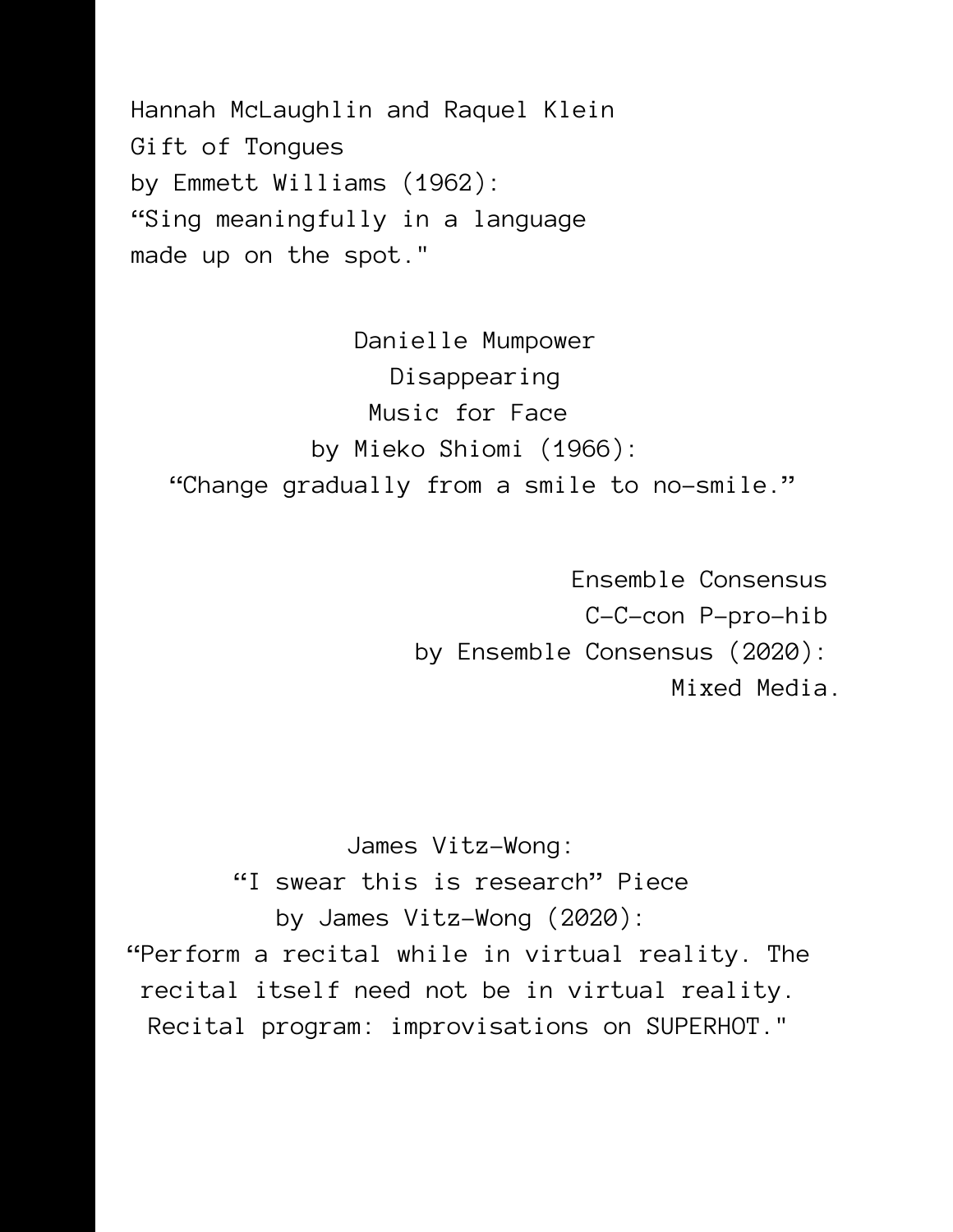Hannah McLaughlin and Raquel Klein Gift of Tongues by Emmett Williams (1962): "Sing meaningfully in a language made up on the spot."

Danielle Mumpower Disappearing Music for Face by Mieko Shiomi (1966): "Change gradually from a smile to no-smile."

> Ensemble Consensus C-C-con P-pro-hib by Ensemble Consensus (2020): Mixed Media.

James Vitz-Wong: "I swear this is research" Piece by James Vitz-Wong (2020): "Perform a recital while in virtual reality. The recital itself need not be in virtual reality. Recital program: improvisations on SUPERHOT."